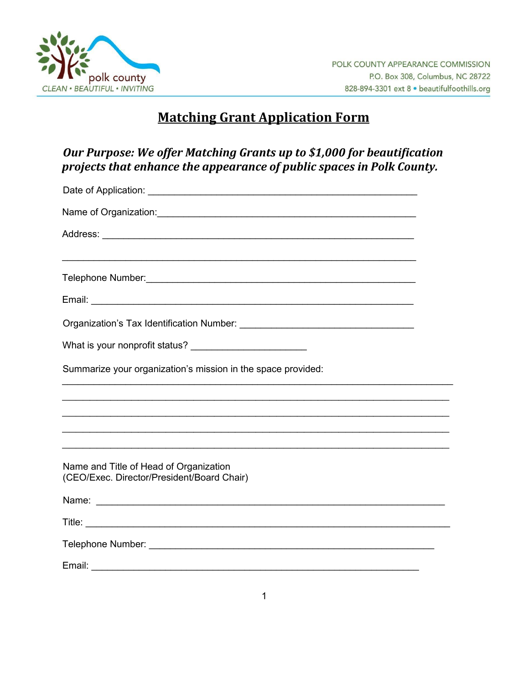

# **Matching Grant Application Form**

## Our Purpose: We offer Matching Grants up to \$1,000 for beautification projects that enhance the appearance of public spaces in Polk County.

| Name of Organization: Name of Organization:                                                                                                                                                                                         |  |
|-------------------------------------------------------------------------------------------------------------------------------------------------------------------------------------------------------------------------------------|--|
|                                                                                                                                                                                                                                     |  |
|                                                                                                                                                                                                                                     |  |
|                                                                                                                                                                                                                                     |  |
|                                                                                                                                                                                                                                     |  |
|                                                                                                                                                                                                                                     |  |
| What is your nonprofit status? _________________________                                                                                                                                                                            |  |
| Summarize your organization's mission in the space provided:                                                                                                                                                                        |  |
|                                                                                                                                                                                                                                     |  |
|                                                                                                                                                                                                                                     |  |
| ,我们也不能在这里的人,我们也不能在这里的人,我们也不能在这里的人,我们也不能在这里的人,我们也不能在这里的人,我们也不能在这里的人,我们也不能在这里的人,我们也                                                                                                                                                   |  |
| Name and Title of Head of Organization<br>(CEO/Exec. Director/President/Board Chair)                                                                                                                                                |  |
| Name: <u>Name:</u> Name: Name: Name: Name: Name: Name: Name: Name: Name: Name: Name: Name: Name: Name: Name: Name: Name: Name: Name: Name: Name: Name: Name: Name: Name: Name: Name: Name: Name: Name: Name: Name: Name: Name: Name |  |
|                                                                                                                                                                                                                                     |  |
|                                                                                                                                                                                                                                     |  |
|                                                                                                                                                                                                                                     |  |
|                                                                                                                                                                                                                                     |  |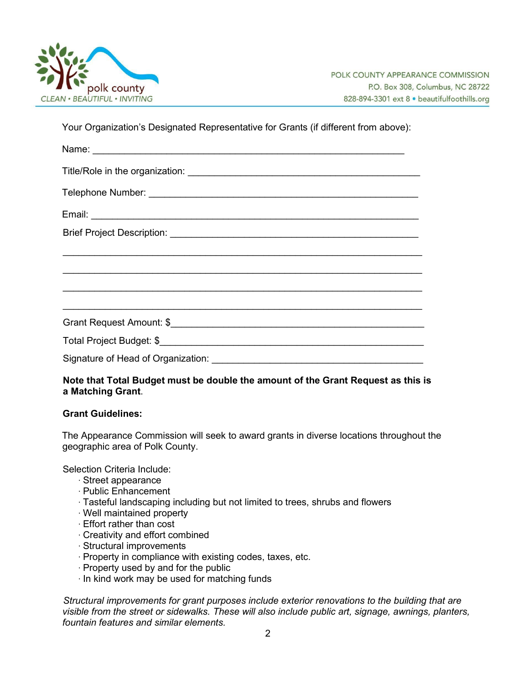

Your Organization's Designated Representative for Grants (if different from above):

| <u> 2008 - Jan Barnett, amerikan bandar bandar (h. 1888).</u> |
|---------------------------------------------------------------|
|                                                               |
|                                                               |
|                                                               |
|                                                               |
|                                                               |
|                                                               |

#### **Note that Total Budget must be double the amount of the Grant Request as this is a Matching Grant**.

#### **Grant Guidelines:**

The Appearance Commission will seek to award grants in diverse locations throughout the geographic area of Polk County.

Selection Criteria Include:

- ∙ Street appearance
- ∙ Public Enhancement
- ∙ Tasteful landscaping including but not limited to trees, shrubs and flowers
- ∙ Well maintained property
- ∙ Effort rather than cost
- ∙ Creativity and effort combined
- ∙ Structural improvements
- ∙ Property in compliance with existing codes, taxes, etc.
- ∙ Property used by and for the public
- ∙ In kind work may be used for matching funds

*Structural improvements for grant purposes include exterior renovations to the building that are visible from the street or sidewalks. These will also include public art, signage, awnings, planters, fountain features and similar elements.*